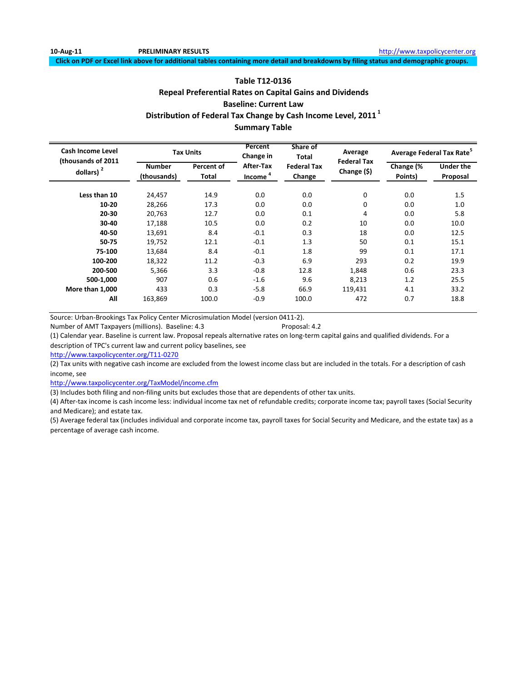# **Table T12‐0136 Repeal Preferential Rates on Capital Gains and Dividends Baseline: Current Law Distribution of Federal Tax Change by Cash Income Level, 2011 <sup>1</sup> Summary Table**

| <b>Cash Income Level</b><br>(thousands of 2011 |                              | <b>Tax Units</b>    | Percent<br>Change in   | Share of<br>Total            | Average                           |                      | Average Federal Tax Rate <sup>5</sup> |
|------------------------------------------------|------------------------------|---------------------|------------------------|------------------------------|-----------------------------------|----------------------|---------------------------------------|
| dollars) $2$                                   | <b>Number</b><br>(thousands) | Percent of<br>Total | After-Tax<br>$Income4$ | <b>Federal Tax</b><br>Change | <b>Federal Tax</b><br>Change (\$) | Change (%<br>Points) | <b>Under the</b><br>Proposal          |
| Less than 10                                   | 24,457                       | 14.9                | 0.0                    | 0.0                          | 0                                 | 0.0                  | 1.5                                   |
| 10-20                                          | 28,266                       | 17.3                | 0.0                    | 0.0                          | 0                                 | 0.0                  | 1.0                                   |
| $20 - 30$                                      | 20,763                       | 12.7                | 0.0                    | 0.1                          | 4                                 | 0.0                  | 5.8                                   |
| 30-40                                          | 17,188                       | 10.5                | 0.0                    | 0.2                          | 10                                | 0.0                  | 10.0                                  |
| 40-50                                          | 13,691                       | 8.4                 | $-0.1$                 | 0.3                          | 18                                | 0.0                  | 12.5                                  |
| 50-75                                          | 19,752                       | 12.1                | $-0.1$                 | 1.3                          | 50                                | 0.1                  | 15.1                                  |
| 75-100                                         | 13,684                       | 8.4                 | $-0.1$                 | 1.8                          | 99                                | 0.1                  | 17.1                                  |
| 100-200                                        | 18,322                       | 11.2                | $-0.3$                 | 6.9                          | 293                               | 0.2                  | 19.9                                  |
| 200-500                                        | 5,366                        | 3.3                 | $-0.8$                 | 12.8                         | 1,848                             | 0.6                  | 23.3                                  |
| 500-1.000                                      | 907                          | 0.6                 | $-1.6$                 | 9.6                          | 8,213                             | 1.2                  | 25.5                                  |
| More than 1,000                                | 433                          | 0.3                 | $-5.8$                 | 66.9                         | 119,431                           | 4.1                  | 33.2                                  |
| All                                            | 163,869                      | 100.0               | $-0.9$                 | 100.0                        | 472                               | 0.7                  | 18.8                                  |

Source: Urban‐Brookings Tax Policy Center Microsimulation Model (version 0411‐2).

Number of AMT Taxpayers (millions). Baseline: 4.3 Proposal: 4.2

(1) Calendar year. Baseline is current law. Proposal repeals alternative rates on long‐term capital gains and qualified dividends. For a description of TPC's current law and current policy baselines, see

http://www.taxpolicycenter.org/T11‐0270

(2) Tax units with negative cash income are excluded from the lowest income class but are included in the totals. For a description of cash income, see

http://www.taxpolicycenter.org/TaxModel/income.cfm

(3) Includes both filing and non‐filing units but excludes those that are dependents of other tax units.

(4) After‐tax income is cash income less: individual income tax net of refundable credits; corporate income tax; payroll taxes (Social Security and Medicare); and estate tax.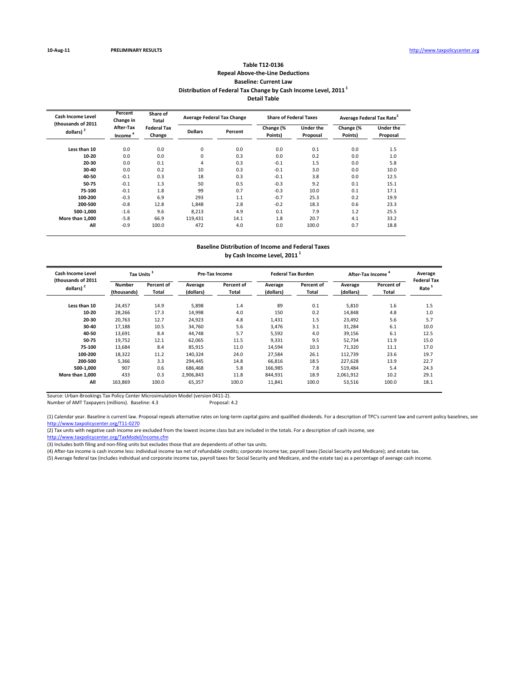# **Table T12‐0136 Repeal Above‐the‐Line Deductions Baseline: Current Law Distribution of Federal Tax Change by Cash Income Level, 2011 <sup>1</sup> Detail Table**

| Cash Income Level<br>(thousands of 2011 | Percent<br>Change in             | Share of<br>Total            |                | <b>Average Federal Tax Change</b> | <b>Share of Federal Taxes</b> |                              | Average Federal Tax Rate <sup>5</sup> |                              |
|-----------------------------------------|----------------------------------|------------------------------|----------------|-----------------------------------|-------------------------------|------------------------------|---------------------------------------|------------------------------|
| dollars) $2$                            | After-Tax<br>Income <sup>4</sup> | <b>Federal Tax</b><br>Change | <b>Dollars</b> | Percent                           | Change (%<br>Points)          | <b>Under the</b><br>Proposal | Change (%<br>Points)                  | <b>Under the</b><br>Proposal |
| Less than 10                            | 0.0                              | 0.0                          | 0              | 0.0                               | 0.0                           | 0.1                          | 0.0                                   | 1.5                          |
| $10-20$                                 | 0.0                              | 0.0                          | 0              | 0.3                               | 0.0                           | 0.2                          | 0.0                                   | 1.0                          |
| 20-30                                   | 0.0                              | 0.1                          | 4              | 0.3                               | $-0.1$                        | 1.5                          | 0.0                                   | 5.8                          |
| 30-40                                   | 0.0                              | 0.2                          | 10             | 0.3                               | $-0.1$                        | 3.0                          | 0.0                                   | 10.0                         |
| 40-50                                   | $-0.1$                           | 0.3                          | 18             | 0.3                               | $-0.1$                        | 3.8                          | 0.0                                   | 12.5                         |
| 50-75                                   | $-0.1$                           | 1.3                          | 50             | 0.5                               | $-0.3$                        | 9.2                          | 0.1                                   | 15.1                         |
| 75-100                                  | $-0.1$                           | 1.8                          | 99             | 0.7                               | $-0.3$                        | 10.0                         | 0.1                                   | 17.1                         |
| 100-200                                 | $-0.3$                           | 6.9                          | 293            | 1.1                               | $-0.7$                        | 25.3                         | 0.2                                   | 19.9                         |
| 200-500                                 | $-0.8$                           | 12.8                         | 1.848          | 2.8                               | $-0.2$                        | 18.3                         | 0.6                                   | 23.3                         |
| 500-1.000                               | $-1.6$                           | 9.6                          | 8,213          | 4.9                               | 0.1                           | 7.9                          | 1.2                                   | 25.5                         |
| More than 1.000                         | $-5.8$                           | 66.9                         | 119.431        | 14.1                              | 1.8                           | 20.7                         | 4.1                                   | 33.2                         |
| All                                     | $-0.9$                           | 100.0                        | 472            | 4.0                               | 0.0                           | 100.0                        | 0.7                                   | 18.8                         |

## **Baseline Distribution of Income and Federal Taxes by Cash Income Level, 2011 <sup>1</sup>**

| <b>Cash Income Level</b><br>(thousands of 2011 | Tax Units <sup>3</sup>       |                            |                      | Pre-Tax Income      |                      | <b>Federal Tax Burden</b>  | <b>After-Tax Income</b> |                            | Average<br><b>Federal Tax</b> |
|------------------------------------------------|------------------------------|----------------------------|----------------------|---------------------|----------------------|----------------------------|-------------------------|----------------------------|-------------------------------|
| dollars) <sup>2</sup>                          | <b>Number</b><br>(thousands) | Percent of<br><b>Total</b> | Average<br>(dollars) | Percent of<br>Total | Average<br>(dollars) | Percent of<br><b>Total</b> | Average<br>(dollars)    | Percent of<br><b>Total</b> | Rate <sup>5</sup>             |
| Less than 10                                   | 24,457                       | 14.9                       | 5,898                | 1.4                 | 89                   | 0.1                        | 5,810                   | 1.6                        | 1.5                           |
| 10-20                                          | 28,266                       | 17.3                       | 14,998               | 4.0                 | 150                  | 0.2                        | 14,848                  | 4.8                        | 1.0                           |
| 20-30                                          | 20.763                       | 12.7                       | 24,923               | 4.8                 | 1,431                | 1.5                        | 23,492                  | 5.6                        | 5.7                           |
| 30-40                                          | 17,188                       | 10.5                       | 34,760               | 5.6                 | 3,476                | 3.1                        | 31,284                  | 6.1                        | 10.0                          |
| 40-50                                          | 13,691                       | 8.4                        | 44,748               | 5.7                 | 5,592                | 4.0                        | 39,156                  | 6.1                        | 12.5                          |
| 50-75                                          | 19,752                       | 12.1                       | 62,065               | 11.5                | 9,331                | 9.5                        | 52,734                  | 11.9                       | 15.0                          |
| 75-100                                         | 13,684                       | 8.4                        | 85,915               | 11.0                | 14,594               | 10.3                       | 71,320                  | 11.1                       | 17.0                          |
| 100-200                                        | 18,322                       | 11.2                       | 140,324              | 24.0                | 27,584               | 26.1                       | 112,739                 | 23.6                       | 19.7                          |
| 200-500                                        | 5,366                        | 3.3                        | 294.445              | 14.8                | 66,816               | 18.5                       | 227,628                 | 13.9                       | 22.7                          |
| 500-1.000                                      | 907                          | 0.6                        | 686.468              | 5.8                 | 166,985              | 7.8                        | 519.484                 | 5.4                        | 24.3                          |
| More than 1,000                                | 433                          | 0.3                        | 2.906.843            | 11.8                | 844,931              | 18.9                       | 2,061,912               | 10.2                       | 29.1                          |
| All                                            | 163,869                      | 100.0                      | 65,357               | 100.0               | 11,841               | 100.0                      | 53,516                  | 100.0                      | 18.1                          |

Source: Urban‐Brookings Tax Policy Center Microsimulation Model (version 0411‐2).

Number of AMT Taxpayers (millions). Baseline: 4.3

(1) Calendar year. Baseline is current law. Proposal repeals alternative rates on long‐term capital gains and qualified dividends. For a description of TPC's current law and current policy baselines, see http://www.taxpolicycenter.org/T11‐0270

(2) Tax units with negative cash income are excluded from the lowest income class but are included in the totals. For a description of cash income, see

http://www.taxpolicycenter.org/TaxModel/income.cfm

(3) Includes both filing and non‐filing units but excludes those that are dependents of other tax units.

(4) After‐tax income is cash income less: individual income tax net of refundable credits; corporate income tax; payroll taxes (Social Security and Medicare); and estate tax.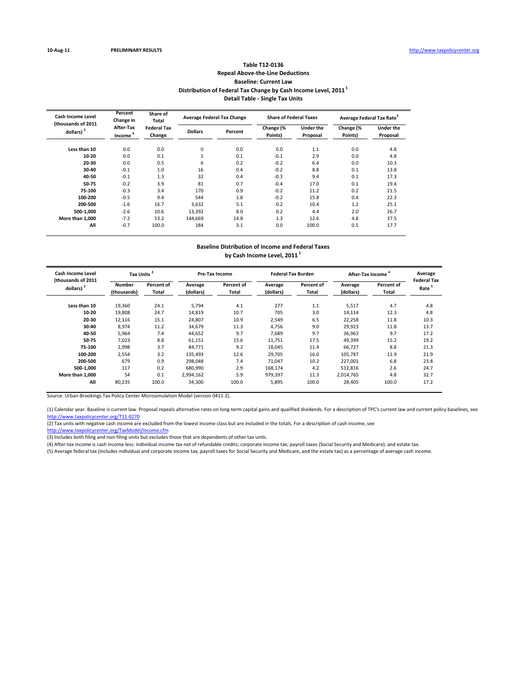## **Table T12‐0136 Repeal Above‐the‐Line Deductions Baseline: Current Law Distribution of Federal Tax Change by Cash Income Level, 2011 <sup>1</sup> Detail Table ‐ Single Tax Units**

| <b>Cash Income Level</b><br>(thousands of 2011 | Percent<br>Change in             | Share of<br>Total            |                | <b>Average Federal Tax Change</b> | <b>Share of Federal Taxes</b> |                       | Average Federal Tax Rate <sup>5</sup> |                              |
|------------------------------------------------|----------------------------------|------------------------------|----------------|-----------------------------------|-------------------------------|-----------------------|---------------------------------------|------------------------------|
| dollars) <sup>2</sup>                          | After-Tax<br>Income <sup>4</sup> | <b>Federal Tax</b><br>Change | <b>Dollars</b> | Percent                           | Change (%<br>Points)          | Under the<br>Proposal | Change (%<br>Points)                  | <b>Under the</b><br>Proposal |
| Less than 10                                   | 0.0                              | 0.0                          | 0              | 0.0                               | 0.0                           | 1.1                   | 0.0                                   | 4.8                          |
| 10-20                                          | 0.0                              | 0.1                          |                | 0.1                               | $-0.1$                        | 2.9                   | 0.0                                   | 4.8                          |
| 20-30                                          | 0.0                              | 0.5                          | 6              | 0.2                               | $-0.2$                        | 6.4                   | 0.0                                   | 10.3                         |
| 30-40                                          | $-0.1$                           | 1.0                          | 16             | 0.4                               | $-0.2$                        | 8.8                   | 0.1                                   | 13.8                         |
| 40-50                                          | $-0.1$                           | 1.3                          | 32             | 0.4                               | $-0.3$                        | 9.4                   | 0.1                                   | 17.3                         |
| 50-75                                          | $-0.2$                           | 3.9                          | 81             | 0.7                               | $-0.4$                        | 17.0                  | 0.1                                   | 19.4                         |
| 75-100                                         | $-0.3$                           | 3.4                          | 170            | 0.9                               | $-0.2$                        | 11.2                  | 0.2                                   | 21.5                         |
| 100-200                                        | $-0.5$                           | 9.4                          | 544            | 1.8                               | $-0.2$                        | 15.8                  | 0.4                                   | 22.3                         |
| 200-500                                        | $-1.6$                           | 16.7                         | 3.632          | 5.1                               | 0.2                           | 10.4                  | 1.2                                   | 25.1                         |
| 500-1.000                                      | $-2.6$                           | 10.6                         | 13.392         | 8.0                               | 0.2                           | 4.4                   | 2.0                                   | 26.7                         |
| More than 1.000                                | $-7.2$                           | 53.2                         | 144.669        | 14.8                              | 1.3                           | 12.6                  | 4.8                                   | 37.5                         |
| All                                            | $-0.7$                           | 100.0                        | 184            | 3.1                               | 0.0                           | 100.0                 | 0.5                                   | 17.7                         |

## **Baseline Distribution of Income and Federal Taxes by Cash Income Level, 2011 <sup>1</sup>**

| Cash Income Level<br>(thousands of 2011 | Tax Units <sup>3</sup>       |                     |                      | Pre-Tax Income      |                      | <b>Federal Tax Burden</b> | <b>After-Tax Income</b> |                     | Average<br><b>Federal Tax</b> |
|-----------------------------------------|------------------------------|---------------------|----------------------|---------------------|----------------------|---------------------------|-------------------------|---------------------|-------------------------------|
| dollars) <sup>2</sup>                   | <b>Number</b><br>(thousands) | Percent of<br>Total | Average<br>(dollars) | Percent of<br>Total | Average<br>(dollars) | Percent of<br>Total       | Average<br>(dollars)    | Percent of<br>Total | Rate                          |
| Less than 10                            | 19,360                       | 24.1                | 5,794                | 4.1                 | 277                  | 1.1                       | 5,517                   | 4.7                 | 4.8                           |
| 10-20                                   | 19,808                       | 24.7                | 14.819               | 10.7                | 705                  | 3.0                       | 14,114                  | 12.3                | 4.8                           |
| 20-30                                   | 12.116                       | 15.1                | 24.807               | 10.9                | 2,549                | 6.5                       | 22,258                  | 11.8                | 10.3                          |
| 30-40                                   | 8,974                        | 11.2                | 34,679               | 11.3                | 4,756                | 9.0                       | 29,923                  | 11.8                | 13.7                          |
| 40-50                                   | 5,964                        | 7.4                 | 44,652               | 9.7                 | 7,689                | 9.7                       | 36,963                  | 9.7                 | 17.2                          |
| 50-75                                   | 7,023                        | 8.8                 | 61,151               | 15.6                | 11,751               | 17.5                      | 49,399                  | 15.2                | 19.2                          |
| 75-100                                  | 2,998                        | 3.7                 | 84,771               | 9.2                 | 18,045               | 11.4                      | 66,727                  | 8.8                 | 21.3                          |
| 100-200                                 | 2,554                        | 3.2                 | 135,493              | 12.6                | 29,705               | 16.0                      | 105,787                 | 11.9                | 21.9                          |
| 200-500                                 | 679                          | 0.9                 | 298.048              | 7.4                 | 71,047               | 10.2                      | 227,001                 | 6.8                 | 23.8                          |
| 500-1.000                               | 117                          | 0.2                 | 680.990              | 2.9                 | 168.174              | 4.2                       | 512.816                 | 2.6                 | 24.7                          |
| More than 1.000                         | 54                           | 0.1                 | 2,994,162            | 5.9                 | 979,397              | 11.3                      | 2,014,765               | 4.8                 | 32.7                          |
| All                                     | 80,235                       | 100.0               | 34,300               | 100.0               | 5,895                | 100.0                     | 28,405                  | 100.0               | 17.2                          |

Source: Urban‐Brookings Tax Policy Center Microsimulation Model (version 0411‐2).

(1) Calendar year. Baseline is current law. Proposal repeals alternative rates on long‐term capital gains and qualified dividends. For a description of TPC's current law and current policy baselines, see http://www.taxpolicycenter.org/T11‐0270

(2) Tax units with negative cash income are excluded from the lowest income class but are included in the totals. For a description of cash income, see

http://www.taxpolicycenter.org/TaxModel/income.cfm

(3) Includes both filing and non‐filing units but excludes those that are dependents of other tax units.

(4) After‐tax income is cash income less: individual income tax net of refundable credits; corporate income tax; payroll taxes (Social Security and Medicare); and estate tax.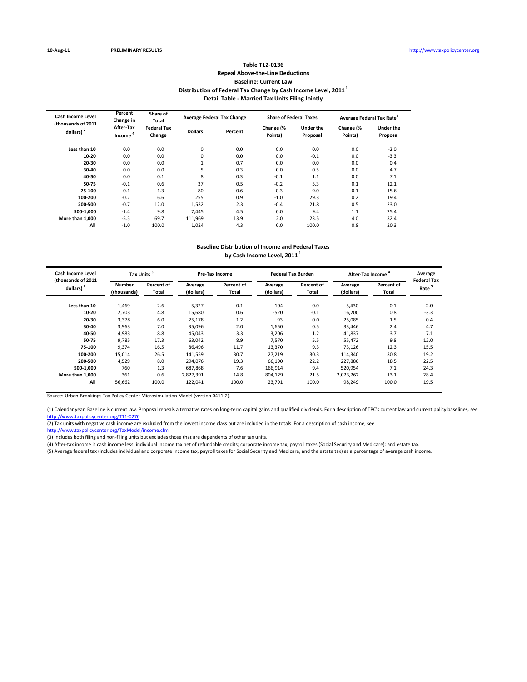# **Table T12‐0136 Repeal Above‐the‐Line Deductions Baseline: Current Law Distribution of Federal Tax Change by Cash Income Level, 2011 <sup>1</sup> Detail Table ‐ Married Tax Units Filing Jointly**

| <b>Cash Income Level</b><br>(thousands of 2011 | Percent<br>Change in             | Share of<br>Total            |                | <b>Average Federal Tax Change</b> | <b>Share of Federal Taxes</b> |                       | Average Federal Tax Rate <sup>5</sup> |                              |
|------------------------------------------------|----------------------------------|------------------------------|----------------|-----------------------------------|-------------------------------|-----------------------|---------------------------------------|------------------------------|
| dollars) <sup>2</sup>                          | After-Tax<br>Income <sup>4</sup> | <b>Federal Tax</b><br>Change | <b>Dollars</b> | Percent                           | Change (%<br>Points)          | Under the<br>Proposal | Change (%<br>Points)                  | <b>Under the</b><br>Proposal |
| Less than 10                                   | 0.0                              | 0.0                          | 0              | 0.0                               | 0.0                           | 0.0                   | 0.0                                   | $-2.0$                       |
| 10-20                                          | 0.0                              | 0.0                          | 0              | 0.0                               | 0.0                           | $-0.1$                | 0.0                                   | $-3.3$                       |
| 20-30                                          | 0.0                              | 0.0                          |                | 0.7                               | 0.0                           | 0.0                   | 0.0                                   | 0.4                          |
| 30-40                                          | 0.0                              | 0.0                          | 5              | 0.3                               | 0.0                           | 0.5                   | 0.0                                   | 4.7                          |
| 40-50                                          | 0.0                              | 0.1                          | 8              | 0.3                               | $-0.1$                        | 1.1                   | 0.0                                   | 7.1                          |
| 50-75                                          | $-0.1$                           | 0.6                          | 37             | 0.5                               | $-0.2$                        | 5.3                   | 0.1                                   | 12.1                         |
| 75-100                                         | $-0.1$                           | 1.3                          | 80             | 0.6                               | $-0.3$                        | 9.0                   | 0.1                                   | 15.6                         |
| 100-200                                        | $-0.2$                           | 6.6                          | 255            | 0.9                               | $-1.0$                        | 29.3                  | 0.2                                   | 19.4                         |
| 200-500                                        | $-0.7$                           | 12.0                         | 1,532          | 2.3                               | $-0.4$                        | 21.8                  | 0.5                                   | 23.0                         |
| 500-1.000                                      | $-1.4$                           | 9.8                          | 7.445          | 4.5                               | 0.0                           | 9.4                   | 1.1                                   | 25.4                         |
| More than 1.000                                | $-5.5$                           | 69.7                         | 111.969        | 13.9                              | 2.0                           | 23.5                  | 4.0                                   | 32.4                         |
| All                                            | $-1.0$                           | 100.0                        | 1,024          | 4.3                               | 0.0                           | 100.0                 | 0.8                                   | 20.3                         |

## **Baseline Distribution of Income and Federal Taxes by Cash Income Level, 2011 <sup>1</sup>**

| Cash Income Level<br>(thousands of 2011 | Tax Units <sup>3</sup>       |                     |                      | <b>Pre-Tax Income</b> |                      | <b>Federal Tax Burden</b> | <b>After-Tax Income</b> |                     | Average<br><b>Federal Tax</b> |
|-----------------------------------------|------------------------------|---------------------|----------------------|-----------------------|----------------------|---------------------------|-------------------------|---------------------|-------------------------------|
| dollars) $2$                            | <b>Number</b><br>(thousands) | Percent of<br>Total | Average<br>(dollars) | Percent of<br>Total   | Average<br>(dollars) | Percent of<br>Total       | Average<br>(dollars)    | Percent of<br>Total | Rate <sup>5</sup>             |
| Less than 10                            | 1,469                        | 2.6                 | 5,327                | 0.1                   | $-104$               | 0.0                       | 5,430                   | 0.1                 | $-2.0$                        |
| 10-20                                   | 2.703                        | 4.8                 | 15,680               | 0.6                   | $-520$               | $-0.1$                    | 16,200                  | 0.8                 | $-3.3$                        |
| 20-30                                   | 3,378                        | 6.0                 | 25.178               | 1.2                   | 93                   | 0.0                       | 25,085                  | 1.5                 | 0.4                           |
| 30-40                                   | 3,963                        | 7.0                 | 35,096               | 2.0                   | 1,650                | 0.5                       | 33,446                  | 2.4                 | 4.7                           |
| 40-50                                   | 4,983                        | 8.8                 | 45,043               | 3.3                   | 3,206                | 1.2                       | 41,837                  | 3.7                 | 7.1                           |
| 50-75                                   | 9,785                        | 17.3                | 63.042               | 8.9                   | 7,570                | 5.5                       | 55,472                  | 9.8                 | 12.0                          |
| 75-100                                  | 9,374                        | 16.5                | 86,496               | 11.7                  | 13,370               | 9.3                       | 73,126                  | 12.3                | 15.5                          |
| 100-200                                 | 15.014                       | 26.5                | 141,559              | 30.7                  | 27,219               | 30.3                      | 114,340                 | 30.8                | 19.2                          |
| 200-500                                 | 4,529                        | 8.0                 | 294,076              | 19.3                  | 66,190               | 22.2                      | 227,886                 | 18.5                | 22.5                          |
| 500-1.000                               | 760                          | 1.3                 | 687.868              | 7.6                   | 166,914              | 9.4                       | 520,954                 | 7.1                 | 24.3                          |
| More than 1.000                         | 361                          | 0.6                 | 2.827.391            | 14.8                  | 804,129              | 21.5                      | 2,023,262               | 13.1                | 28.4                          |
| All                                     | 56,662                       | 100.0               | 122,041              | 100.0                 | 23,791               | 100.0                     | 98,249                  | 100.0               | 19.5                          |

Source: Urban‐Brookings Tax Policy Center Microsimulation Model (version 0411‐2).

(1) Calendar year. Baseline is current law. Proposal repeals alternative rates on long‐term capital gains and qualified dividends. For a description of TPC's current law and current policy baselines, see http://www.taxpolicycenter.org/T11‐0270

(2) Tax units with negative cash income are excluded from the lowest income class but are included in the totals. For a description of cash income, see

http://www.taxpolicycenter.org/TaxModel/income.cfm

(3) Includes both filing and non‐filing units but excludes those that are dependents of other tax units.

(4) After‐tax income is cash income less: individual income tax net of refundable credits; corporate income tax; payroll taxes (Social Security and Medicare); and estate tax.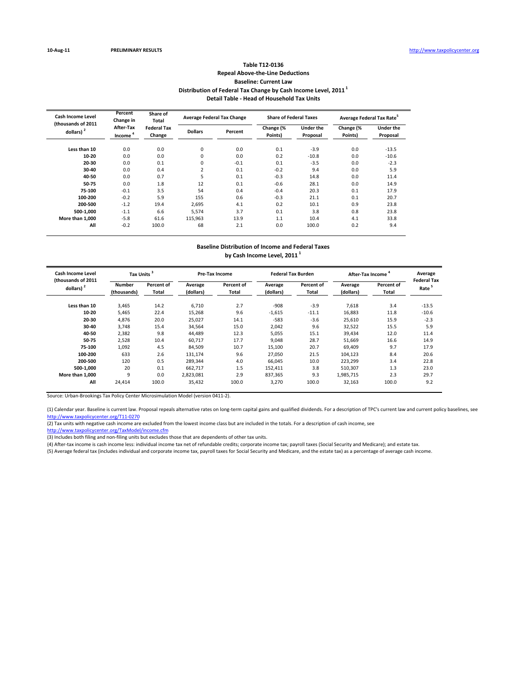# **Table T12‐0136 Repeal Above‐the‐Line Deductions Baseline: Current Law Distribution of Federal Tax Change by Cash Income Level, 2011 <sup>1</sup> Detail Table ‐ Head of Household Tax Units**

| Cash Income Level<br>(thousands of 2011 | Percent<br>Change in             | Share of<br>Total            |                | <b>Average Federal Tax Change</b> | <b>Share of Federal Taxes</b> |                              | Average Federal Tax Rate <sup>5</sup> |                              |
|-----------------------------------------|----------------------------------|------------------------------|----------------|-----------------------------------|-------------------------------|------------------------------|---------------------------------------|------------------------------|
| dollars) $2$                            | After-Tax<br>Income <sup>4</sup> | <b>Federal Tax</b><br>Change | <b>Dollars</b> | Percent                           | Change (%<br>Points)          | <b>Under the</b><br>Proposal | Change (%<br>Points)                  | <b>Under the</b><br>Proposal |
| Less than 10                            | 0.0                              | 0.0                          | 0              | 0.0                               | 0.1                           | $-3.9$                       | 0.0                                   | $-13.5$                      |
| $10-20$                                 | 0.0                              | 0.0                          | 0              | 0.0                               | 0.2                           | $-10.8$                      | 0.0                                   | $-10.6$                      |
| 20-30                                   | 0.0                              | 0.1                          | 0              | $-0.1$                            | 0.1                           | $-3.5$                       | 0.0                                   | $-2.3$                       |
| 30-40                                   | 0.0                              | 0.4                          | 2              | 0.1                               | $-0.2$                        | 9.4                          | 0.0                                   | 5.9                          |
| 40-50                                   | 0.0                              | 0.7                          | 5              | 0.1                               | $-0.3$                        | 14.8                         | 0.0                                   | 11.4                         |
| 50-75                                   | 0.0                              | 1.8                          | 12             | 0.1                               | $-0.6$                        | 28.1                         | 0.0                                   | 14.9                         |
| 75-100                                  | $-0.1$                           | 3.5                          | 54             | 0.4                               | $-0.4$                        | 20.3                         | 0.1                                   | 17.9                         |
| 100-200                                 | $-0.2$                           | 5.9                          | 155            | 0.6                               | $-0.3$                        | 21.1                         | 0.1                                   | 20.7                         |
| 200-500                                 | $-1.2$                           | 19.4                         | 2,695          | 4.1                               | 0.2                           | 10.1                         | 0.9                                   | 23.8                         |
| 500-1.000                               | $-1.1$                           | 6.6                          | 5,574          | 3.7                               | 0.1                           | 3.8                          | 0.8                                   | 23.8                         |
| More than 1.000                         | $-5.8$                           | 61.6                         | 115.963        | 13.9                              | 1.1                           | 10.4                         | 4.1                                   | 33.8                         |
| All                                     | $-0.2$                           | 100.0                        | 68             | 2.1                               | 0.0                           | 100.0                        | 0.2                                   | 9.4                          |

## **Baseline Distribution of Income and Federal Taxes by Cash Income Level, 2011 <sup>1</sup>**

| Cash Income Level<br>(thousands of 2011 | Tax Units <sup>3</sup>       |                     |                      | Pre-Tax Income      |                      | <b>Federal Tax Burden</b> | <b>After-Tax Income</b> |                     | Average<br><b>Federal Tax</b> |
|-----------------------------------------|------------------------------|---------------------|----------------------|---------------------|----------------------|---------------------------|-------------------------|---------------------|-------------------------------|
| dollars) <sup>2</sup>                   | <b>Number</b><br>(thousands) | Percent of<br>Total | Average<br>(dollars) | Percent of<br>Total | Average<br>(dollars) | Percent of<br>Total       | Average<br>(dollars)    | Percent of<br>Total | Rate                          |
| Less than 10                            | 3,465                        | 14.2                | 6.710                | 2.7                 | $-908$               | $-3.9$                    | 7,618                   | 3.4                 | $-13.5$                       |
| 10-20                                   | 5,465                        | 22.4                | 15,268               | 9.6                 | $-1,615$             | $-11.1$                   | 16,883                  | 11.8                | $-10.6$                       |
| 20-30                                   | 4.876                        | 20.0                | 25.027               | 14.1                | $-583$               | $-3.6$                    | 25,610                  | 15.9                | $-2.3$                        |
| 30-40                                   | 3,748                        | 15.4                | 34,564               | 15.0                | 2,042                | 9.6                       | 32,522                  | 15.5                | 5.9                           |
| 40-50                                   | 2,382                        | 9.8                 | 44,489               | 12.3                | 5,055                | 15.1                      | 39,434                  | 12.0                | 11.4                          |
| 50-75                                   | 2,528                        | 10.4                | 60.717               | 17.7                | 9,048                | 28.7                      | 51,669                  | 16.6                | 14.9                          |
| 75-100                                  | 1,092                        | 4.5                 | 84,509               | 10.7                | 15,100               | 20.7                      | 69,409                  | 9.7                 | 17.9                          |
| 100-200                                 | 633                          | 2.6                 | 131,174              | 9.6                 | 27,050               | 21.5                      | 104,123                 | 8.4                 | 20.6                          |
| 200-500                                 | 120                          | 0.5                 | 289.344              | 4.0                 | 66,045               | 10.0                      | 223,299                 | 3.4                 | 22.8                          |
| 500-1.000                               | 20                           | 0.1                 | 662.717              | 1.5                 | 152.411              | 3.8                       | 510.307                 | 1.3                 | 23.0                          |
| More than 1.000                         | 9                            | 0.0                 | 2,823,081            | 2.9                 | 837,365              | 9.3                       | 1,985,715               | 2.3                 | 29.7                          |
| All                                     | 24,414                       | 100.0               | 35,432               | 100.0               | 3,270                | 100.0                     | 32,163                  | 100.0               | 9.2                           |

Source: Urban‐Brookings Tax Policy Center Microsimulation Model (version 0411‐2).

(1) Calendar year. Baseline is current law. Proposal repeals alternative rates on long‐term capital gains and qualified dividends. For a description of TPC's current law and current policy baselines, see http://www.taxpolicycenter.org/T11‐0270

(2) Tax units with negative cash income are excluded from the lowest income class but are included in the totals. For a description of cash income, see

http://www.taxpolicycenter.org/TaxModel/income.cfm

(3) Includes both filing and non‐filing units but excludes those that are dependents of other tax units.

(4) After‐tax income is cash income less: individual income tax net of refundable credits; corporate income tax; payroll taxes (Social Security and Medicare); and estate tax.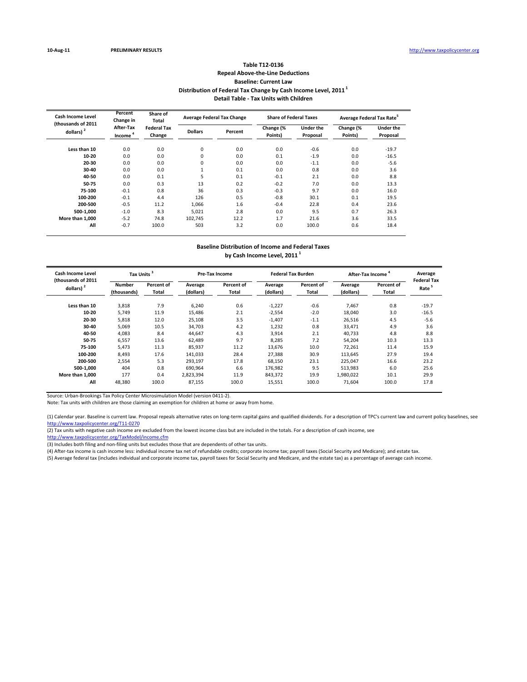## **Table T12‐0136 Repeal Above‐the‐Line Deductions Baseline: Current Law Distribution of Federal Tax Change by Cash Income Level, 2011 <sup>1</sup> Detail Table ‐ Tax Units with Children**

| <b>Cash Income Level</b><br>(thousands of 2011 | Percent<br>Change in             | Share of<br>Total            |                | <b>Average Federal Tax Change</b> | <b>Share of Federal Taxes</b> |                       | Average Federal Tax Rate <sup>5</sup> |                              |
|------------------------------------------------|----------------------------------|------------------------------|----------------|-----------------------------------|-------------------------------|-----------------------|---------------------------------------|------------------------------|
| dollars) <sup>2</sup>                          | After-Tax<br>Income <sup>4</sup> | <b>Federal Tax</b><br>Change | <b>Dollars</b> | Percent                           | Change (%<br>Points)          | Under the<br>Proposal | Change (%<br>Points)                  | <b>Under the</b><br>Proposal |
| Less than 10                                   | 0.0                              | 0.0                          | 0              | 0.0                               | 0.0                           | $-0.6$                | 0.0                                   | $-19.7$                      |
| 10-20                                          | 0.0                              | 0.0                          | 0              | 0.0                               | 0.1                           | $-1.9$                | 0.0                                   | $-16.5$                      |
| 20-30                                          | 0.0                              | 0.0                          | 0              | 0.0                               | 0.0                           | $-1.1$                | 0.0                                   | $-5.6$                       |
| 30-40                                          | 0.0                              | 0.0                          |                | 0.1                               | 0.0                           | 0.8                   | 0.0                                   | 3.6                          |
| 40-50                                          | 0.0                              | 0.1                          | 5              | 0.1                               | $-0.1$                        | 2.1                   | 0.0                                   | 8.8                          |
| 50-75                                          | 0.0                              | 0.3                          | 13             | 0.2                               | $-0.2$                        | 7.0                   | 0.0                                   | 13.3                         |
| 75-100                                         | $-0.1$                           | 0.8                          | 36             | 0.3                               | $-0.3$                        | 9.7                   | 0.0                                   | 16.0                         |
| 100-200                                        | $-0.1$                           | 4.4                          | 126            | 0.5                               | $-0.8$                        | 30.1                  | 0.1                                   | 19.5                         |
| 200-500                                        | $-0.5$                           | 11.2                         | 1.066          | 1.6                               | $-0.4$                        | 22.8                  | 0.4                                   | 23.6                         |
| 500-1.000                                      | $-1.0$                           | 8.3                          | 5.021          | 2.8                               | 0.0                           | 9.5                   | 0.7                                   | 26.3                         |
| More than 1.000                                | $-5.2$                           | 74.8                         | 102.745        | 12.2                              | 1.7                           | 21.6                  | 3.6                                   | 33.5                         |
| All                                            | $-0.7$                           | 100.0                        | 503            | 3.2                               | 0.0                           | 100.0                 | 0.6                                   | 18.4                         |

## **Baseline Distribution of Income and Federal Taxes by Cash Income Level, 2011 <sup>1</sup>**

| Cash Income Level<br>(thousands of 2011 | Tax Units <sup>3</sup>       |                     |                      | Pre-Tax Income             |                      | <b>Federal Tax Burden</b>  |                      | <b>After-Tax Income</b> |                                         |
|-----------------------------------------|------------------------------|---------------------|----------------------|----------------------------|----------------------|----------------------------|----------------------|-------------------------|-----------------------------------------|
| dollars) $2$                            | <b>Number</b><br>(thousands) | Percent of<br>Total | Average<br>(dollars) | Percent of<br><b>Total</b> | Average<br>(dollars) | Percent of<br><b>Total</b> | Average<br>(dollars) | Percent of<br>Total     | <b>Federal Tax</b><br>Rate <sup>5</sup> |
| Less than 10                            | 3,818                        | 7.9                 | 6,240                | 0.6                        | $-1,227$             | $-0.6$                     | 7,467                | 0.8                     | $-19.7$                                 |
| 10-20                                   | 5,749                        | 11.9                | 15,486               | 2.1                        | $-2,554$             | $-2.0$                     | 18,040               | 3.0                     | $-16.5$                                 |
| 20-30                                   | 5,818                        | 12.0                | 25,108               | 3.5                        | $-1,407$             | $-1.1$                     | 26,516               | 4.5                     | $-5.6$                                  |
| 30-40                                   | 5,069                        | 10.5                | 34,703               | 4.2                        | 1,232                | 0.8                        | 33,471               | 4.9                     | 3.6                                     |
| 40-50                                   | 4,083                        | 8.4                 | 44,647               | 4.3                        | 3,914                | 2.1                        | 40,733               | 4.8                     | 8.8                                     |
| 50-75                                   | 6,557                        | 13.6                | 62,489               | 9.7                        | 8,285                | 7.2                        | 54,204               | 10.3                    | 13.3                                    |
| 75-100                                  | 5,473                        | 11.3                | 85,937               | 11.2                       | 13,676               | 10.0                       | 72,261               | 11.4                    | 15.9                                    |
| 100-200                                 | 8.493                        | 17.6                | 141.033              | 28.4                       | 27.388               | 30.9                       | 113.645              | 27.9                    | 19.4                                    |
| 200-500                                 | 2,554                        | 5.3                 | 293.197              | 17.8                       | 68,150               | 23.1                       | 225,047              | 16.6                    | 23.2                                    |
| 500-1.000                               | 404                          | 0.8                 | 690.964              | 6.6                        | 176,982              | 9.5                        | 513,983              | 6.0                     | 25.6                                    |
| More than 1.000                         | 177                          | 0.4                 | 2,823,394            | 11.9                       | 843,372              | 19.9                       | 1,980,022            | 10.1                    | 29.9                                    |
| All                                     | 48,380                       | 100.0               | 87,155               | 100.0                      | 15,551               | 100.0                      | 71,604               | 100.0                   | 17.8                                    |

Source: Urban‐Brookings Tax Policy Center Microsimulation Model (version 0411‐2).

Note: Tax units with children are those claiming an exemption for children at home or away from home.

(1) Calendar year. Baseline is current law. Proposal repeals alternative rates on long-term capital gains and qualified dividends. For a description of TPC's current law and current policy baselines, see http://www.taxpolicycenter.org/T11‐0270

(2) Tax units with negative cash income are excluded from the lowest income class but are included in the totals. For a description of cash income, see

http://www.taxpolicycenter.org/TaxModel/income.cfm

(3) Includes both filing and non‐filing units but excludes those that are dependents of other tax units.

(4) After‐tax income is cash income less: individual income tax net of refundable credits; corporate income tax; payroll taxes (Social Security and Medicare); and estate tax.